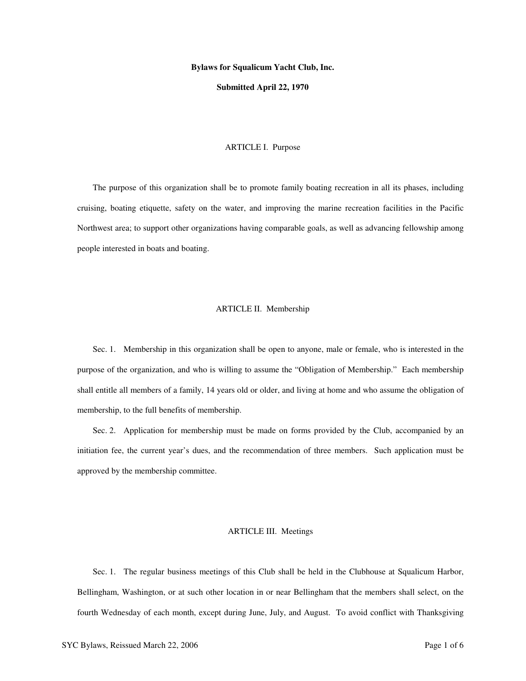#### **Bylaws for Squalicum Yacht Club, Inc.**

#### **Submitted April 22, 1970**

#### ARTICLE I. Purpose

The purpose of this organization shall be to promote family boating recreation in all its phases, including cruising, boating etiquette, safety on the water, and improving the marine recreation facilities in the Pacific Northwest area; to support other organizations having comparable goals, as well as advancing fellowship among people interested in boats and boating.

#### ARTICLE II. Membership

Sec. 1. Membership in this organization shall be open to anyone, male or female, who is interested in the purpose of the organization, and who is willing to assume the "Obligation of Membership." Each membership shall entitle all members of a family, 14 years old or older, and living at home and who assume the obligation of membership, to the full benefits of membership.

Sec. 2. Application for membership must be made on forms provided by the Club, accompanied by an initiation fee, the current year's dues, and the recommendation of three members. Such application must be approved by the membership committee.

## ARTICLE III. Meetings

Sec. 1. The regular business meetings of this Club shall be held in the Clubhouse at Squalicum Harbor, Bellingham, Washington, or at such other location in or near Bellingham that the members shall select, on the fourth Wednesday of each month, except during June, July, and August. To avoid conflict with Thanksgiving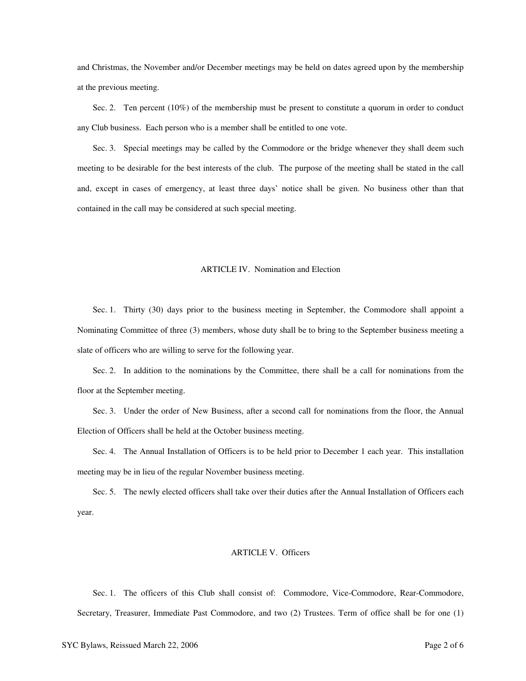and Christmas, the November and/or December meetings may be held on dates agreed upon by the membership at the previous meeting.

Sec. 2. Ten percent (10%) of the membership must be present to constitute a quorum in order to conduct any Club business. Each person who is a member shall be entitled to one vote.

Sec. 3. Special meetings may be called by the Commodore or the bridge whenever they shall deem such meeting to be desirable for the best interests of the club. The purpose of the meeting shall be stated in the call and, except in cases of emergency, at least three days' notice shall be given. No business other than that contained in the call may be considered at such special meeting.

#### ARTICLE IV. Nomination and Election

Sec. 1. Thirty (30) days prior to the business meeting in September, the Commodore shall appoint a Nominating Committee of three (3) members, whose duty shall be to bring to the September business meeting a slate of officers who are willing to serve for the following year.

Sec. 2. In addition to the nominations by the Committee, there shall be a call for nominations from the floor at the September meeting.

Sec. 3. Under the order of New Business, after a second call for nominations from the floor, the Annual Election of Officers shall be held at the October business meeting.

Sec. 4. The Annual Installation of Officers is to be held prior to December 1 each year. This installation meeting may be in lieu of the regular November business meeting.

Sec. 5. The newly elected officers shall take over their duties after the Annual Installation of Officers each year.

# ARTICLE V. Officers

Sec. 1. The officers of this Club shall consist of: Commodore, Vice-Commodore, Rear-Commodore, Secretary, Treasurer, Immediate Past Commodore, and two (2) Trustees. Term of office shall be for one (1)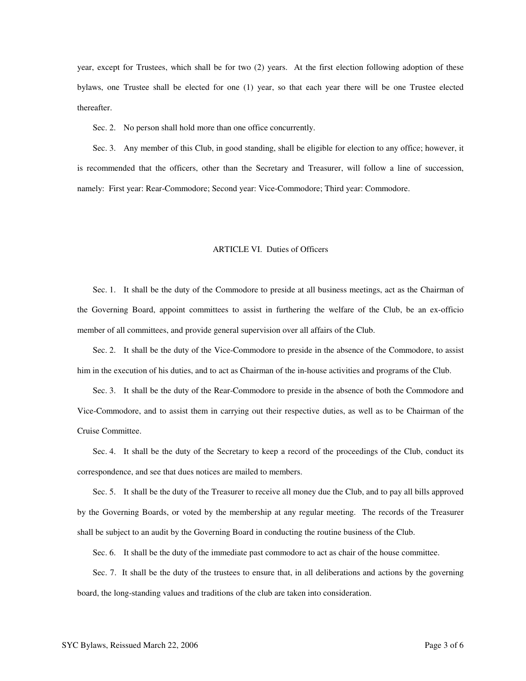year, except for Trustees, which shall be for two (2) years. At the first election following adoption of these bylaws, one Trustee shall be elected for one (1) year, so that each year there will be one Trustee elected thereafter.

Sec. 2. No person shall hold more than one office concurrently.

Sec. 3. Any member of this Club, in good standing, shall be eligible for election to any office; however, it is recommended that the officers, other than the Secretary and Treasurer, will follow a line of succession, namely: First year: Rear-Commodore; Second year: Vice-Commodore; Third year: Commodore.

## ARTICLE VI. Duties of Officers

Sec. 1. It shall be the duty of the Commodore to preside at all business meetings, act as the Chairman of the Governing Board, appoint committees to assist in furthering the welfare of the Club, be an ex-officio member of all committees, and provide general supervision over all affairs of the Club.

Sec. 2. It shall be the duty of the Vice-Commodore to preside in the absence of the Commodore, to assist him in the execution of his duties, and to act as Chairman of the in-house activities and programs of the Club.

Sec. 3. It shall be the duty of the Rear-Commodore to preside in the absence of both the Commodore and Vice-Commodore, and to assist them in carrying out their respective duties, as well as to be Chairman of the Cruise Committee.

Sec. 4. It shall be the duty of the Secretary to keep a record of the proceedings of the Club, conduct its correspondence, and see that dues notices are mailed to members.

Sec. 5. It shall be the duty of the Treasurer to receive all money due the Club, and to pay all bills approved by the Governing Boards, or voted by the membership at any regular meeting. The records of the Treasurer shall be subject to an audit by the Governing Board in conducting the routine business of the Club.

Sec. 6. It shall be the duty of the immediate past commodore to act as chair of the house committee.

Sec. 7. It shall be the duty of the trustees to ensure that, in all deliberations and actions by the governing board, the long-standing values and traditions of the club are taken into consideration.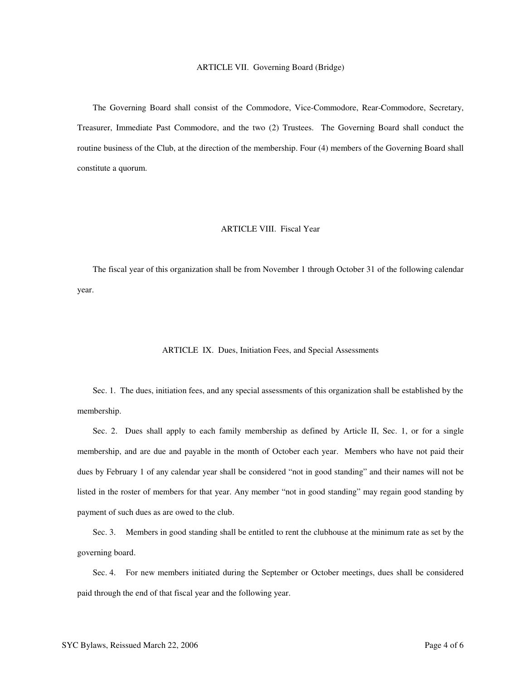## ARTICLE VII. Governing Board (Bridge)

The Governing Board shall consist of the Commodore, Vice-Commodore, Rear-Commodore, Secretary, Treasurer, Immediate Past Commodore, and the two (2) Trustees. The Governing Board shall conduct the routine business of the Club, at the direction of the membership. Four (4) members of the Governing Board shall constitute a quorum.

## ARTICLE VIII. Fiscal Year

The fiscal year of this organization shall be from November 1 through October 31 of the following calendar year.

## ARTICLE IX. Dues, Initiation Fees, and Special Assessments

Sec. 1. The dues, initiation fees, and any special assessments of this organization shall be established by the membership.

Sec. 2. Dues shall apply to each family membership as defined by Article II, Sec. 1, or for a single membership, and are due and payable in the month of October each year. Members who have not paid their dues by February 1 of any calendar year shall be considered "not in good standing" and their names will not be listed in the roster of members for that year. Any member "not in good standing" may regain good standing by payment of such dues as are owed to the club.

Sec. 3. Members in good standing shall be entitled to rent the clubhouse at the minimum rate as set by the governing board.

Sec. 4. For new members initiated during the September or October meetings, dues shall be considered paid through the end of that fiscal year and the following year.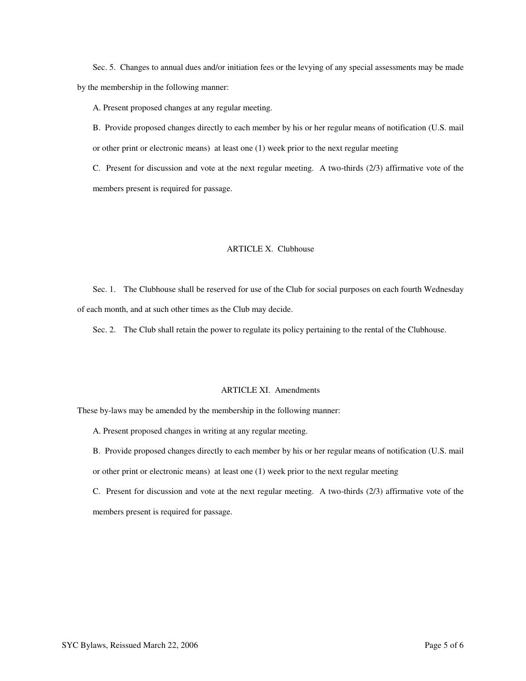Sec. 5. Changes to annual dues and/or initiation fees or the levying of any special assessments may be made by the membership in the following manner:

A. Present proposed changes at any regular meeting.

B. Provide proposed changes directly to each member by his or her regular means of notification (U.S. mail or other print or electronic means) at least one (1) week prior to the next regular meeting

C. Present for discussion and vote at the next regular meeting. A two-thirds (2/3) affirmative vote of the members present is required for passage.

# ARTICLE X. Clubhouse

Sec. 1. The Clubhouse shall be reserved for use of the Club for social purposes on each fourth Wednesday of each month, and at such other times as the Club may decide.

Sec. 2. The Club shall retain the power to regulate its policy pertaining to the rental of the Clubhouse.

# ARTICLE XI. Amendments

These by-laws may be amended by the membership in the following manner:

- A. Present proposed changes in writing at any regular meeting.
- B. Provide proposed changes directly to each member by his or her regular means of notification (U.S. mail or other print or electronic means) at least one (1) week prior to the next regular meeting
- C. Present for discussion and vote at the next regular meeting. A two-thirds (2/3) affirmative vote of the members present is required for passage.